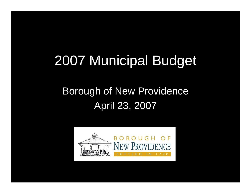# 2007 Municipal Budget

#### Borough of New Providence April 23, 2007

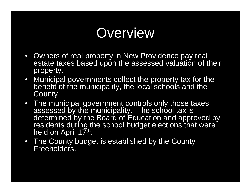### **Overview**

- Owners of real property in New Providence pay real estate taxes based upon the assessed valuation of their property.
- Municipal governments collect the property tax for the benefit of the municipality, the local schools and the County.
- The municipal government controls only those taxes assessed by the municipality. The school tax is determined by the Board of Education and approved by residents during the school budget elections that were held on April 17th.
- The County budget is established by the County Freeholders.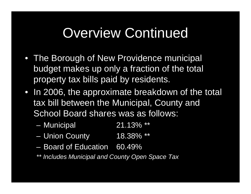### Overview Continued

- The Borough of New Providence municipal budget makes up only a fraction of the total property tax bills paid by residents.
- In 2006, the approximate breakdown of the total tax bill between the Municipal, County and School Board shares was as follows:
	- Municipal 21.13% \*\*
	- Union County 18.38% \*\*
	- Board of Education 60.49%
	- *\*\* Includes Municipal and County Open Space Tax*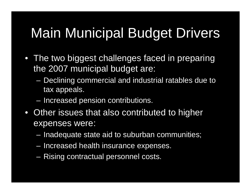# Main Municipal Budget Drivers

- The two biggest challenges faced in preparing the 2007 municipal budget are:
	- Declining commercial and industrial ratables due to tax appeals.
	- Increased pension contributions.
- Other issues that also contributed to higher expenses were:
	- Inadequate state aid to suburban communities;
	- Increased health insurance expenses.
	- Rising contractual personnel costs.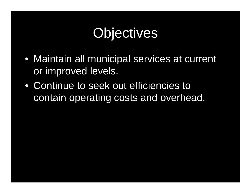# **Objectives**

- Maintain all municipal services at current or improved levels.
- Continue to seek out efficiencies to contain operating costs and overhead.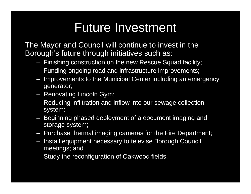### Future Investment

The Mayor and Council will continue to invest in the Borough's future through initiatives such as:

- Finishing construction on the new Rescue Squad facility;
- Funding ongoing road and infrastructure improvements;
- Improvements to the Municipal Center including an emergency generator;
- Renovating Lincoln Gym;
- Reducing infiltration and inflow into our sewage collection system;
- Beginning phased deployment of a document imaging and storage system;
- Purchase thermal imaging cameras for the Fire Department;
- Install equipment necessary to televise Borough Council meetings; and
- Study the reconfiguration of Oakwood fields.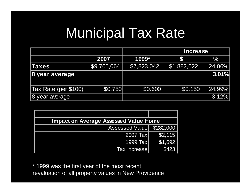### Municipal Tax Rate

|                      |             |             | <b>Increase</b> |               |  |
|----------------------|-------------|-------------|-----------------|---------------|--|
|                      | 2007        | 1999*       |                 | $\frac{1}{2}$ |  |
| Taxes                | \$9,705,064 | \$7,823,042 | \$1,882,022     | 24.06%        |  |
| 8 year average       |             |             |                 | 3.01%         |  |
|                      |             |             |                 |               |  |
| Tax Rate (per \$100) | \$0.750     | \$0.600     | \$0.150         | 24.99%        |  |
| 8 year average       |             |             |                 | 3.12%         |  |

| <b>Impact on Average Assessed Value Home</b> |           |  |  |
|----------------------------------------------|-----------|--|--|
| <b>Assessed Value</b>                        | \$282,000 |  |  |
| 2007 Tax                                     | \$2,115   |  |  |
| 1999 Taxl                                    | \$1,692   |  |  |
| Tax Increasel                                | \$423     |  |  |

\* 1999 was the first year of the most recent revaluation of all property values in New Providence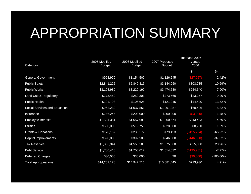### APPROPRIATION SUMMARY

| Category                         | 2005 Modified<br><b>Budget</b> | 2006 Modified<br><b>Budget</b> | 2007 Proposed<br><b>Budget</b> | Increase 2007<br>versus<br>2006 |             |
|----------------------------------|--------------------------------|--------------------------------|--------------------------------|---------------------------------|-------------|
|                                  |                                |                                |                                | \$                              | $\%$        |
| <b>General Government</b>        | \$963,970                      | \$1,154,502                    | \$1,126,545                    | $($ \$27,957 $)$                | $-2.42%$    |
| <b>Public Safety</b>             | \$2,841,225                    | \$2,840,315                    | \$3,144,050                    | \$303,735                       | 10.69%      |
| <b>Public Works</b>              | \$3,108,980                    | \$3,220,190                    | \$3,474,730                    | \$254,540                       | 7.90%       |
| <b>Land Use &amp; Regulatory</b> | \$275,450                      | \$250,303                      | \$273,560                      | \$23,257                        | 9.29%       |
| Public Health                    | \$101,798                      | \$106,625                      | \$121,045                      | \$14,420                        | 13.52%      |
| Social Services and Education    | \$962,230                      | \$1,037,551                    | \$1,097,957                    | \$60,406                        | 5.82%       |
| Insurance                        | \$246,245                      | \$203,000                      | \$200,000                      | (\$3,000)                       | $-1.48%$    |
| <b>Employee Benefits</b>         | \$1,524,351                    | \$1,657,090                    | \$1,900,574                    | \$243,483                       | 14.69%      |
| <b>Utilities</b>                 | \$530,000                      | \$519,750                      | \$528,000                      | \$8,250                         | 1.59%       |
| <b>Grants &amp; Donations</b>    | \$173,167                      | \$235,177                      | \$79,453                       | (\$155, 724)                    | $-66.22%$   |
| Capital Improvements             | \$390,000                      | \$392,500                      | \$246,000                      | (\$146,500)                     | $-37.32%$   |
| <b>Tax Reserves</b>              | \$1,333,344                    | \$1,550,500                    | \$1,875,500                    | \$325,000                       | 20.96%      |
| Debt Service                     | \$1,780,418                    | \$1,750,012                    | \$1,614,032                    | (\$135,981)                     | $-7.77%$    |
| <b>Deferred Charges</b>          | \$30,000                       | \$30,000                       | \$0                            | (\$30,000)                      | $-100.00\%$ |
| <b>Total Appropriations</b>      | \$14,261,178                   | \$14,947,516                   | \$15,681,445                   | \$733,930                       | 4.91%       |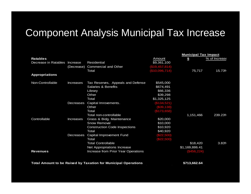#### Component Analysis Municipal Tax Increase

|                       |                  |                                                                |                   | <b>Municipal Tax Impact</b> |               |
|-----------------------|------------------|----------------------------------------------------------------|-------------------|-----------------------------|---------------|
| <b>Ratables</b>       |                  |                                                                | Amount            | $\boldsymbol{\mathsf{s}}$   | % of Increase |
| Decrease in Ratables  | Increase         | <b>Residential</b>                                             | \$9,361,100       |                             |               |
|                       | (Decrease)       | <b>Commercial and Other</b>                                    | $($ \$19,457,814) |                             |               |
|                       |                  | Total                                                          | (\$10,096,714)    | 75,717                      | 15.73%        |
| <b>Appropriations</b> |                  |                                                                |                   |                             |               |
| Non-Controllable      | Increases        | Tax Reserves, Appeals and Defense                              | \$545,000         |                             |               |
|                       |                  | <b>Salaries &amp; Benefits</b>                                 | \$674,491         |                             |               |
|                       |                  | Library                                                        | \$66,336          |                             |               |
|                       |                  | Other                                                          | \$39,298          |                             |               |
|                       |                  | Total                                                          | \$1,325,125       |                             |               |
|                       | Decreases        | Capital Imrovements.                                           | (\$134,521)       |                             |               |
|                       |                  | Other                                                          | ( \$39, 138)      |                             |               |
|                       |                  | Total                                                          | (\$173,658)       |                             |               |
|                       |                  | Total non-controllable                                         |                   | 1,151,466                   | 239.23%       |
| Controllable          | <b>Increases</b> | Grass & Bidg. Maintenance                                      | \$20,000          |                             |               |
|                       |                  | <b>Snow Removal</b>                                            | \$10,000          |                             |               |
|                       |                  | <b>Construction Code Inspections</b>                           | \$10,920          |                             |               |
|                       |                  | Total                                                          | \$40,920          |                             |               |
|                       | Decreases        | Capital Improvement Fund                                       | (\$22,500)        |                             |               |
|                       |                  | Total                                                          | (\$22,500)        |                             |               |
|                       |                  | <b>Total Controllable</b>                                      |                   | \$18,420                    | 3.83%         |
|                       |                  | Net Appropriations Increase                                    |                   | \$1,169,886.41              |               |
| <b>Revenues</b>       |                  | Increase from Prior Year Operations                            |                   | (\$456, 224)                |               |
|                       |                  | Total Amount to be Raised by Taxation for Municipal Operations |                   | \$713,662.64                |               |